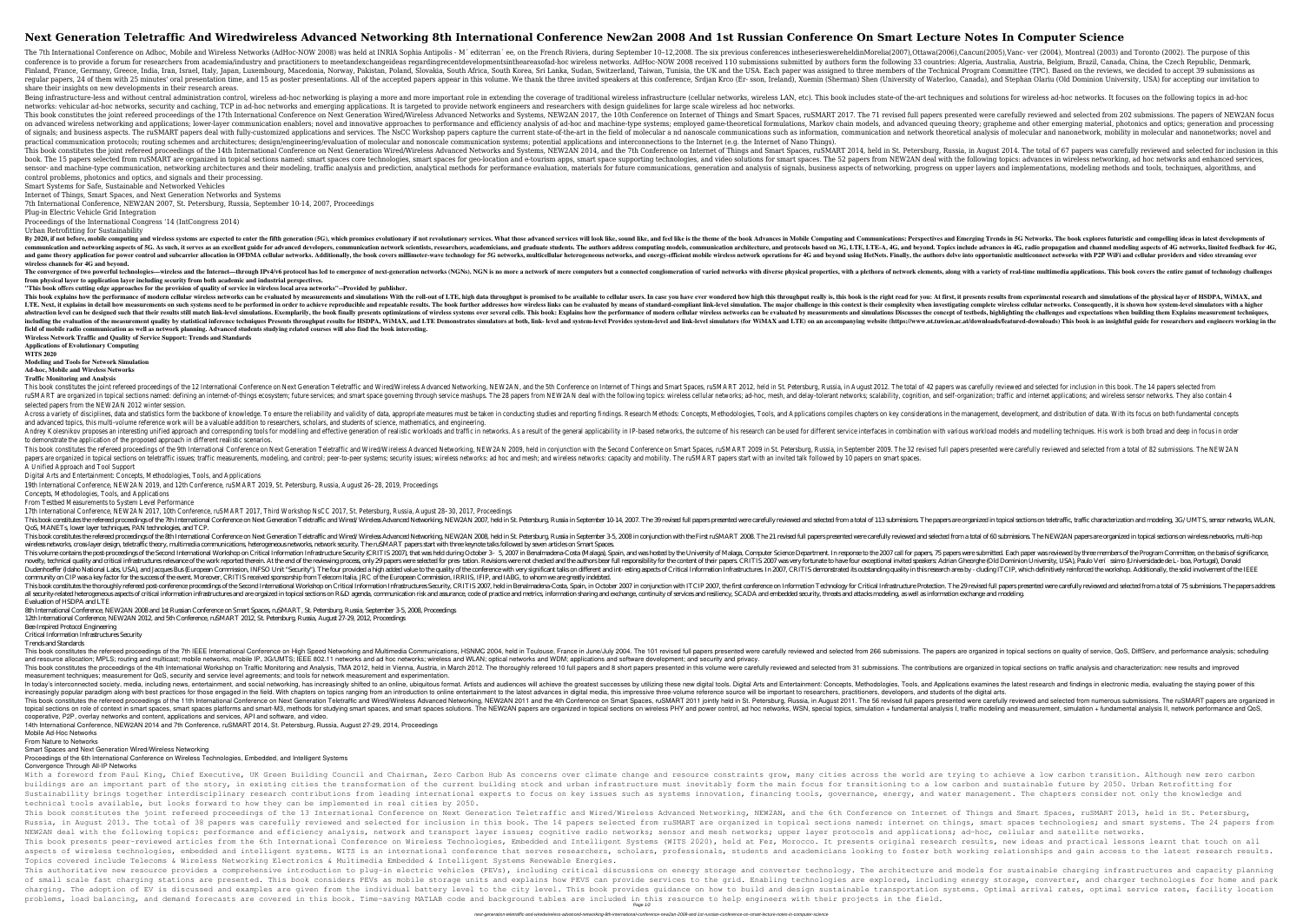# **Next Generation Teletraffic And Wiredwireless Advanced Networking 8th International Conference New2an 2008 And 1st Russian Conference On Smart Lecture Notes In Computer Science**

The 7th International Conference on Adhoc, Mobile and Wireless Networks (AdHoc-NOW 2008) was held at INRIA Sophia Antipolis - M´ editerran´ee, on the French Riviera, during September 10-12,2008. The six previous conference conference is to provide a forum for researchers from academia/industry and practitioners to meetandexchangeideas regardingrecentdevelopmentsintheareasofad-hoc wireless networks. AdHoc-NOW 2008 received 110 submissions sub Finland, France, Germany, Greece, India, Iran, Israel, Italy, Japan, Luxembourg, Macedonia, Norway, Pakistan, Poland, Slovakia, South Africa, South Africa, South Africa, South Africa, South Africa, South Africa, South Kore regular papers, 24 of them with 25 minutes' oral presentation time, and 15 as poster presentations. All of the accepted papers appear in this volume. We thank the three invited speakers at this conference, Srdian Krco (Ershare their insights on new developments in their research areas.

Being infrastructure-less and without central administration control, wireless ad-hoc networking is playing a more and more important role in extending the coverage of traditional wireless infrastructure (cellular networks networks: vehicular ad-hoc networks, security and caching, TCP in ad-hoc networks and emerging applications. It is targeted to provide network engineers and researchers with design quidelines for large scale wireless ad ho This book constitutes the joint refereed proceedings of the 17th International Conference on Next Generation Wired/Wireless Advanced Networks and Systems, NEW2AN 2017. The 71 revised full papers presented were carefully re on advanced wireless networking and applications; lower-layer communication enablers; novel and innovative approaches to performance and efficiency analysis of ad-hoc and machine-type systems; employed game-theoretical for of signals; and business aspects. The ruSMART papers deal with fully-customized applications and services. The NsCC Workshop papers capture the current state-of-the-art in the field of molecular and nanonetwork, mobility i practical communication protocols; routing schemes and architectures; design/engineering/evaluation of molecular and nonoscale communication systems; potential applications and interconnections to the Internet (e.g. the In This book constitutes the joint refereed proceedings of the 14th International Conference on Next Generation Wired/Wireless Advanced Networks and Systems, NEW2AN 2014, held in St. Petersburg, Russia, in August 2014. The to book. The 15 papers selected from ruSMART are organized in topical sections named: smart spaces core technologies, smart spaces for geo-location and e-tourism apps, smart spaces for geo-location and e-tourism apps, smart s sensor- and machine-type communication, networking architectures and their modeling, traffic analysis and prediction, analytical methods for performance evaluation, materials for future communications, generation and analy control problems, photonics and optics, and signals and their processing.

By 2020, if not before, mobile computing and wireless systems are expected to enter the fifth generation (5G), which promises evolutionary if not revolutionary if not revolutionary services. What those advanced services an communication and networking aspects of 5G. As such, it serves as an excellent guide for advanced developers, communication network scientists, researchers, academicians, and graduate students. The authors address computin and game theory application for power control and subcarrier allocation in OFDMA cellular networks. Additionally, the book covers millimeter-wave technology for 5G networks, and energy-efficient mobile wireless networks, a **wireless channels for 4G and beyond.**

The convergence of two powerful technologies—wireless and the Internet—through IPv4/v6 protocol has led to emergence of next-generation networks (NGNs). NGN is no more a networks with a variety of real-time multimedia appl **from physical layer to application layer including security from both academic and industrial perspectives.**

This book explains how the performance of modern cellular wireless networks can be evaluated by measurements and simulations With the roll-out of LTE, high data throughput really is, this book is the right read for you: At LTE. Next, it explains in detail how measurements on such systems need to be performed in order to achieve reproducible and repeatable results. The book further addresses how wireless cellular networks. Consequently, it is abstraction level can be designed such that their results still match link-level simulations. Exemplarily, the book finally presents optimizations of wireless networks can be evaluated by measurements and simulations Discu including the evaluation of the measurement quality by statistical inference techniques Presents throughput results for HSDPA, WiMAX, and LTE Demonstrates simulators (for WiMAX and LTE Demonstrates simulators at both, link **field of mobile radio communication as well as network planning. Advanced students studying related courses will also find the book interesting. Wireless Network Traffic and Quality of Service Support: Trends and Standards**

Smart Systems for Safe, Sustainable and Networked Vehicles

Internet of Things, Smart Spaces, and Next Generation Networks and Systems

7th International Conference, NEW2AN 2007, St. Petersburg, Russia, September 10-14, 2007, Proceedings

Plug-in Electric Vehicle Grid Integration

This book constitutes the joint refereed proceedings of the 12 International Conference on Next Generation Teletraffic and Wired/Wireless Advanced Networking, NEW2AN, and the 5th Conference on Internet of Things and Smart rusMART are organized in topical sections named: defining an internet-of-things ecosystem; future services; and smart space governing through service mashups. The 28 papers from NEW2AN deal with the following topics: wirel selected papers from the NEW2AN 2012 winter session.

Across a variety of disciplines, data and statistics form the backbone of knowledge. To ensure the reliability and validity of data, appropriate measures must be taken in conducting studies and Applications compiles chapte and advanced topics, this multi-volume reference work will be a valuable addition to researchers, scholars, and students of science, mathematics, and engineerin

Proceedings of the International Congress '14 (IntCongress 2014)

Urban Retrofitting for Sustainability

Andrey Kolesnikov proposes an interesting unified approach and corresponding tools for modelling and effective generation of realistic workloads and traffic in networks. As a result of the general applicability in IP-based to demonstrate the application of the proposed approach in different realistic scenarios.

This book constitutes the refereed proceedings of the 9th International Conference on Next Generation Teletraffic and Wired/Wireless Advanced Networking, NEW2AN 2009, held in conjunction with the Second Conference on Smart papers are organized in topical sections on teletraffic issues; traffic measurements, modeling, and control; peer-to-peer systems; security issues; wireless networks: ad hoc and mesh; and wireless networks: capacity and mo A Unified Approach and Tool Support

This book constitutes the refereed proceedings of the 7th International Conference on Next Generation Teletraffic and Wired/Wireless Advanced Networking. NEW2AN 2007, held in St. Petersburg. Russia in September 10-14, 2007 QoS, MANETs, lower layer techniques, PAN technologies, and TCP.

**"This book offers cutting edge approaches for the provision of quality of service in wireless local area networks"--Provided by publisher.**

This book constitutes the refereed proceedings of the 8th International Conference on Next Generation Teletraffic and Wired/Wireless Advanced Networking, NEW2AN 2008, held in St. Petersburg, Russia in September 3.5, 2008 i wireless networks, cross-layer design, teletraffic theory, multimedia communications, heterogeneous networks, network security. The ruSMART papers start with three keynote talks followed by seven articles on Smart Spaces. This volume contains the post-proceedings of the Second International Workshop on Critical Information Infrastructure Security (CRITIS 2007), that was held during October 3- 5, 2007 in Benalmadena-Costa (Malaga), Spain, an novelty, technical quality and critical infrastructures relevance of the work reported therein. At the end of the reviewing process, only 29 papers were selected for pres- tation. Revisions were not checked and the authors Dudenhoeffer (Idaho National Labs, USA), and Jacques Bus (European Commission, INFSO Unit "Security"). The four provided a high added value to the quality of the conference with very significant talks on different and intcommunity on CIP was a key factor for the success of the event. Moreover, CRITIS received sponsorship from Telecom Italia, JRC of the European Commission, IRRIIS, IFIP, and IABG, to whom we are greatly indebted. This book constitutes the thoroughly refereed post-conference proceedings of the Second International Workshop on Critical Information Infrastructures Security, CRITIS 2007, held in Benalmadena-Costa, Spain, in October 200 all security-related heterogeneous aspects of critical information infrastructures and are orgaized in topical sections on R&D agenda, communication risk and assurance, code of practice and metrics, information sharing and Evaluation of HSDPA and LTE

This book constitutes the refereed proceedings of the 7th IEEE International Conference on High Speed Networking and Multimedia Communications, HSNMC 2004. The 101 revised full papers are organized in topical sections on q and resource allocation; MPLS; routing and multicast; mobile networks, mobile IP, 3G/UMTS; IEEE 802.11 networks and ad hoc networks; wireless and WLAN; optical networks and WDM; applications and software development; and s This book constitutes the proceedings of the 4th International Workshop on Traffic Monitoring and Analysis, TMA 2012, held in Vienna, Austria, in March 2012. The thoroughly reviewed and selected from 31 submissions. The co measurement techniques; measurement for QoS, security and service level agreements; and tools for network measurement and experimentation.

**Applications of Evolutionary Computing**

**WITS 2020**

**Modeling and Tools for Network Simulation**

## **Ad-hoc, Mobile and Wireless Networks**

### **Traffic Monitoring and Analysis**

In today's interconnected society, media, including news, entertainment, and social networking, has increasingly shifted to an online, ubiquitous format. Artists and Applications examines the latest research and findings i increasingly popular paradigm along with best practices for those engaged in the field. With chapters on topics ranging from an introduction to online entertainment to the latest advances in digital media, this impressive This book constitutes the refereed proceedings of the 11th International Conference on Next Generation Teletraffic and Wired/Wireless Advanced Networking, NEW2AN 2011 and the 4th Conference on Smart Spaces, ruSMART 2011 jo nethods for studying smart spaces, smart spaces platforms and smart-M3, methods for studying smart spaces, and smart spaces, and smart spaces, and smart spaces, and smart spaces, and smart spaces solutions. The NEW2AN pape cooperative, P2P, overlay networks and content, applications and services, API and software, and video.

With a foreword from Paul King, Chief Executive, UK Green Building Council and Chairman, Zero Carbon Hub As concerns over climate change and resource constraints grow, many cities across the world are trying to achieve a l buildings are an important part of the story, in existing cities the transformation of the current building stock and urban infrastructure must inevitably form the main focus for transitioning to a low carbon and sustainab Sustainability brings together interdisciplinary research contributions from leading international experts to focus on key issues such as systems innovation, financing tools, governance, energy, and water management. The c technical tools available, but looks forward to how they can be implemented in real cities by 2050. This book constitutes the joint refereed proceedings of the 13 International Conference on Next Generation Teletraffic and Wired/Wireless Advanced Networking, NEW2AN, and the 6th Conference on Internet of Things and Smart Russia, in August 2013. The total of 38 papers was carefully reviewed and selected for inclusion in this book. The 14 papers selected from ruSMART are organized in topical sections named: internet on things, smart spaces t NEW2AN deal with the following topics: performance and efficiency analysis, network and transport layer issues; cognitive radio networks; upper layer protocols and applications; ad-hoc, cellular and satellite networks. This book presents peer-reviewed articles from the 6th International Conference on Wireless Technologies, Embedded and Intelligent Systems (WITS 2020), held at Fez, Morocco. It presents original research results, new ideas aspects of wireless technologies, embedded and intelligent systems. WITS is an international conference that serves researchers, scholars, professionals, students and academicians looking to foster both working relationshi Topics covered include Telecoms & Wireless Networking Electronics & Multimedia Embedded & Intelligent Systems Renewable Energies. This authoritative new resource provides a comprehensive introduction to plug-in electric vehicles (PEVs), including critical discussions on energy storage and converter technology. The architecture and models for sustaina of small scale fast charging stations are presented. This book considers PEVs as mobile storage units and explains how PEVS can provide services to the grid. Enabling technologies are explored, including energy storage, co charging. The adoption of EV is discussed and examples are given from the individual battery level to the city level. This book provides guidance on how to build and design sustainable transportation systems. Optimal arriv problems, load balancing, and demand forecasts are covered in this book. Time-saving MATLAB code and background tables are included in this resource to help engineers with their projects in the field. Page 1/2

Digital Arts and Entertainment: Concepts, Methodologies, Tools, and Applications

19th International Conference, NEW2AN 2019, and 12th Conference, ruSMART 2019, St. Petersburg, Russia, August 26–28, 2019, Proceedings

Concepts, Methodologies, Tools, and Applications

From Testbed Measurements to System Level Performance

17th International Conference, NEW2AN 2017, 10th Conference, ruSMART 2017, Third Workshop NsCC 2017, St. Petersburg, Russia, August 28–30, 2017, Proceedings

8th International Conference, NEW2AN 2008 and 1st Russian Conference on Smart Spaces, ruSMART, St. Petersburg, Russia, September 3-5, 2008, Proceedings 12th International Conference, NEW2AN 2012, and 5th Conference, ruSMART 2012, St. Petersburg, Russia, August 27-29, 2012, Proceedings

### Bee-Inspired Protocol Engineering

Critical Information Infrastructures Security

# Trends and Standards

14th International Conference, NEW2AN 2014 and 7th Conference, ruSMART 2014, St. Petersburg, Russia, August 27-29, 2014, Proceedings

Mobile Ad-Hoc Networks From Nature to Networks

Smart Spaces and Next Generation Wired/Wireless Networking

Proceedings of the 6th International Conference on Wireless Technologies, Embedded, and Intelligent Systems

Convergence Through All-IP Networks